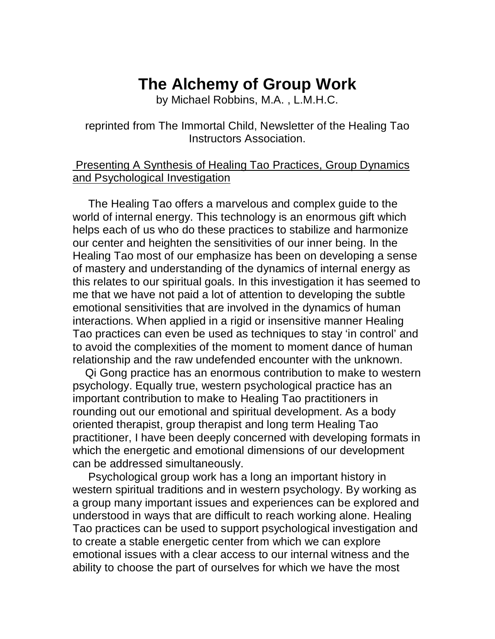# **The Alchemy of Group Work**

by Michael Robbins, M.A. , L.M.H.C.

# reprinted from The Immortal Child, Newsletter of the Healing Tao Instructors Association.

## Presenting A Synthesis of Healing Tao Practices, Group Dynamics and Psychological Investigation

 The Healing Tao offers a marvelous and complex guide to the world of internal energy. This technology is an enormous gift which helps each of us who do these practices to stabilize and harmonize our center and heighten the sensitivities of our inner being. In the Healing Tao most of our emphasize has been on developing a sense of mastery and understanding of the dynamics of internal energy as this relates to our spiritual goals. In this investigation it has seemed to me that we have not paid a lot of attention to developing the subtle emotional sensitivities that are involved in the dynamics of human interactions. When applied in a rigid or insensitive manner Healing Tao practices can even be used as techniques to stay 'in control' and to avoid the complexities of the moment to moment dance of human relationship and the raw undefended encounter with the unknown.

 Qi Gong practice has an enormous contribution to make to western psychology. Equally true, western psychological practice has an important contribution to make to Healing Tao practitioners in rounding out our emotional and spiritual development. As a body oriented therapist, group therapist and long term Healing Tao practitioner, I have been deeply concerned with developing formats in which the energetic and emotional dimensions of our development can be addressed simultaneously.

 Psychological group work has a long an important history in western spiritual traditions and in western psychology. By working as a group many important issues and experiences can be explored and understood in ways that are difficult to reach working alone. Healing Tao practices can be used to support psychological investigation and to create a stable energetic center from which we can explore emotional issues with a clear access to our internal witness and the ability to choose the part of ourselves for which we have the most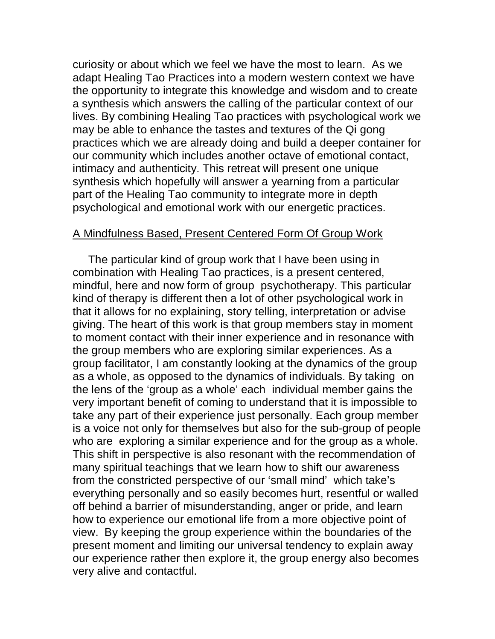curiosity or about which we feel we have the most to learn. As we adapt Healing Tao Practices into a modern western context we have the opportunity to integrate this knowledge and wisdom and to create a synthesis which answers the calling of the particular context of our lives. By combining Healing Tao practices with psychological work we may be able to enhance the tastes and textures of the Qi gong practices which we are already doing and build a deeper container for our community which includes another octave of emotional contact, intimacy and authenticity. This retreat will present one unique synthesis which hopefully will answer a yearning from a particular part of the Healing Tao community to integrate more in depth psychological and emotional work with our energetic practices.

#### A Mindfulness Based, Present Centered Form Of Group Work

 The particular kind of group work that I have been using in combination with Healing Tao practices, is a present centered, mindful, here and now form of group psychotherapy. This particular kind of therapy is different then a lot of other psychological work in that it allows for no explaining, story telling, interpretation or advise giving. The heart of this work is that group members stay in moment to moment contact with their inner experience and in resonance with the group members who are exploring similar experiences. As a group facilitator, I am constantly looking at the dynamics of the group as a whole, as opposed to the dynamics of individuals. By taking on the lens of the 'group as a whole' each individual member gains the very important benefit of coming to understand that it is impossible to take any part of their experience just personally. Each group member is a voice not only for themselves but also for the sub-group of people who are exploring a similar experience and for the group as a whole. This shift in perspective is also resonant with the recommendation of many spiritual teachings that we learn how to shift our awareness from the constricted perspective of our 'small mind' which take's everything personally and so easily becomes hurt, resentful or walled off behind a barrier of misunderstanding, anger or pride, and learn how to experience our emotional life from a more objective point of view. By keeping the group experience within the boundaries of the present moment and limiting our universal tendency to explain away our experience rather then explore it, the group energy also becomes very alive and contactful.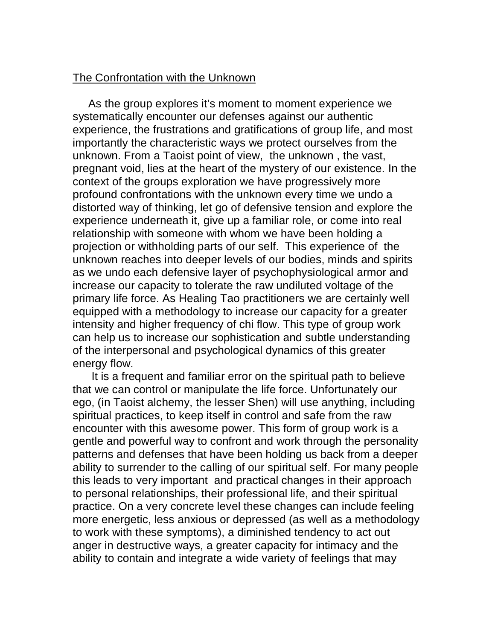### The Confrontation with the Unknown

 As the group explores it's moment to moment experience we systematically encounter our defenses against our authentic experience, the frustrations and gratifications of group life, and most importantly the characteristic ways we protect ourselves from the unknown. From a Taoist point of view, the unknown , the vast, pregnant void, lies at the heart of the mystery of our existence. In the context of the groups exploration we have progressively more profound confrontations with the unknown every time we undo a distorted way of thinking, let go of defensive tension and explore the experience underneath it, give up a familiar role, or come into real relationship with someone with whom we have been holding a projection or withholding parts of our self. This experience of the unknown reaches into deeper levels of our bodies, minds and spirits as we undo each defensive layer of psychophysiological armor and increase our capacity to tolerate the raw undiluted voltage of the primary life force. As Healing Tao practitioners we are certainly well equipped with a methodology to increase our capacity for a greater intensity and higher frequency of chi flow. This type of group work can help us to increase our sophistication and subtle understanding of the interpersonal and psychological dynamics of this greater energy flow.

 It is a frequent and familiar error on the spiritual path to believe that we can control or manipulate the life force. Unfortunately our ego, (in Taoist alchemy, the lesser Shen) will use anything, including spiritual practices, to keep itself in control and safe from the raw encounter with this awesome power. This form of group work is a gentle and powerful way to confront and work through the personality patterns and defenses that have been holding us back from a deeper ability to surrender to the calling of our spiritual self. For many people this leads to very important and practical changes in their approach to personal relationships, their professional life, and their spiritual practice. On a very concrete level these changes can include feeling more energetic, less anxious or depressed (as well as a methodology to work with these symptoms), a diminished tendency to act out anger in destructive ways, a greater capacity for intimacy and the ability to contain and integrate a wide variety of feelings that may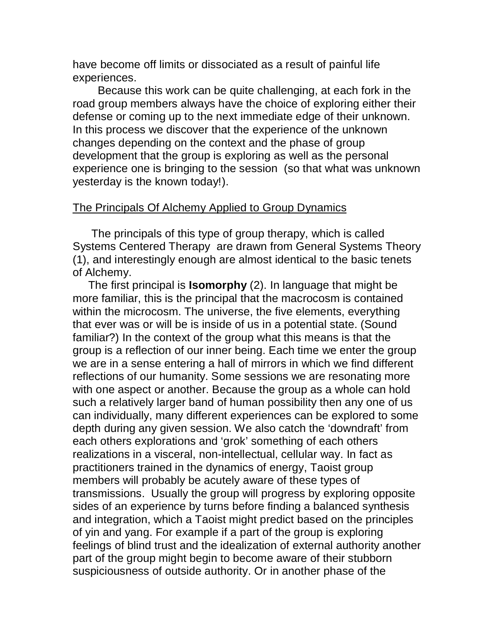have become off limits or dissociated as a result of painful life experiences.

 Because this work can be quite challenging, at each fork in the road group members always have the choice of exploring either their defense or coming up to the next immediate edge of their unknown. In this process we discover that the experience of the unknown changes depending on the context and the phase of group development that the group is exploring as well as the personal experience one is bringing to the session (so that what was unknown yesterday is the known today!).

#### The Principals Of Alchemy Applied to Group Dynamics

 The principals of this type of group therapy, which is called Systems Centered Therapy are drawn from General Systems Theory (1), and interestingly enough are almost identical to the basic tenets of Alchemy.

 The first principal is **Isomorphy** (2). In language that might be more familiar, this is the principal that the macrocosm is contained within the microcosm. The universe, the five elements, everything that ever was or will be is inside of us in a potential state. (Sound familiar?) In the context of the group what this means is that the group is a reflection of our inner being. Each time we enter the group we are in a sense entering a hall of mirrors in which we find different reflections of our humanity. Some sessions we are resonating more with one aspect or another. Because the group as a whole can hold such a relatively larger band of human possibility then any one of us can individually, many different experiences can be explored to some depth during any given session. We also catch the 'downdraft' from each others explorations and 'grok' something of each others realizations in a visceral, non-intellectual, cellular way. In fact as practitioners trained in the dynamics of energy, Taoist group members will probably be acutely aware of these types of transmissions. Usually the group will progress by exploring opposite sides of an experience by turns before finding a balanced synthesis and integration, which a Taoist might predict based on the principles of yin and yang. For example if a part of the group is exploring feelings of blind trust and the idealization of external authority another part of the group might begin to become aware of their stubborn suspiciousness of outside authority. Or in another phase of the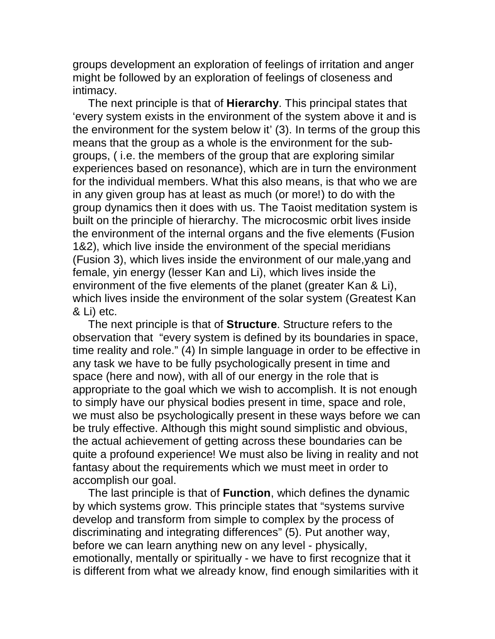groups development an exploration of feelings of irritation and anger might be followed by an exploration of feelings of closeness and intimacy.

 The next principle is that of **Hierarchy**. This principal states that 'every system exists in the environment of the system above it and is the environment for the system below it' (3). In terms of the group this means that the group as a whole is the environment for the subgroups, ( i.e. the members of the group that are exploring similar experiences based on resonance), which are in turn the environment for the individual members. What this also means, is that who we are in any given group has at least as much (or more!) to do with the group dynamics then it does with us. The Taoist meditation system is built on the principle of hierarchy. The microcosmic orbit lives inside the environment of the internal organs and the five elements (Fusion 1&2), which live inside the environment of the special meridians (Fusion 3), which lives inside the environment of our male,yang and female, yin energy (lesser Kan and Li), which lives inside the environment of the five elements of the planet (greater Kan & Li), which lives inside the environment of the solar system (Greatest Kan & Li) etc.

 The next principle is that of **Structure**. Structure refers to the observation that "every system is defined by its boundaries in space, time reality and role." (4) In simple language in order to be effective in any task we have to be fully psychologically present in time and space (here and now), with all of our energy in the role that is appropriate to the goal which we wish to accomplish. It is not enough to simply have our physical bodies present in time, space and role, we must also be psychologically present in these ways before we can be truly effective. Although this might sound simplistic and obvious, the actual achievement of getting across these boundaries can be quite a profound experience! We must also be living in reality and not fantasy about the requirements which we must meet in order to accomplish our goal.

 The last principle is that of **Function**, which defines the dynamic by which systems grow. This principle states that "systems survive develop and transform from simple to complex by the process of discriminating and integrating differences" (5). Put another way, before we can learn anything new on any level - physically, emotionally, mentally or spiritually - we have to first recognize that it is different from what we already know, find enough similarities with it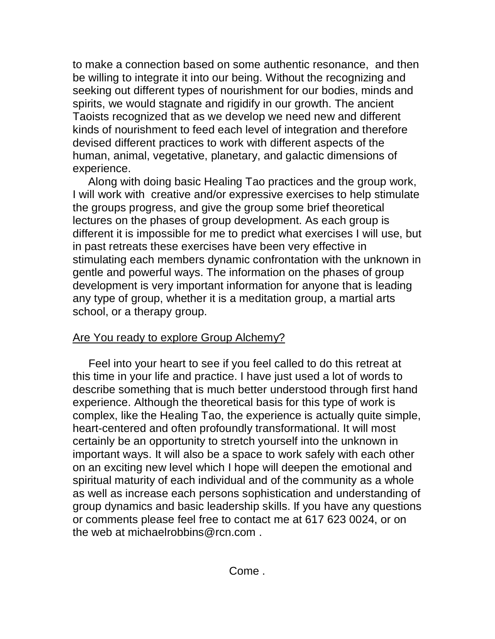to make a connection based on some authentic resonance, and then be willing to integrate it into our being. Without the recognizing and seeking out different types of nourishment for our bodies, minds and spirits, we would stagnate and rigidify in our growth. The ancient Taoists recognized that as we develop we need new and different kinds of nourishment to feed each level of integration and therefore devised different practices to work with different aspects of the human, animal, vegetative, planetary, and galactic dimensions of experience.

 Along with doing basic Healing Tao practices and the group work, I will work with creative and/or expressive exercises to help stimulate the groups progress, and give the group some brief theoretical lectures on the phases of group development. As each group is different it is impossible for me to predict what exercises I will use, but in past retreats these exercises have been very effective in stimulating each members dynamic confrontation with the unknown in gentle and powerful ways. The information on the phases of group development is very important information for anyone that is leading any type of group, whether it is a meditation group, a martial arts school, or a therapy group.

# Are You ready to explore Group Alchemy?

 Feel into your heart to see if you feel called to do this retreat at this time in your life and practice. I have just used a lot of words to describe something that is much better understood through first hand experience. Although the theoretical basis for this type of work is complex, like the Healing Tao, the experience is actually quite simple, heart-centered and often profoundly transformational. It will most certainly be an opportunity to stretch yourself into the unknown in important ways. It will also be a space to work safely with each other on an exciting new level which I hope will deepen the emotional and spiritual maturity of each individual and of the community as a whole as well as increase each persons sophistication and understanding of group dynamics and basic leadership skills. If you have any questions or comments please feel free to contact me at 617 623 0024, or on the web at michaelrobbins@rcn.com .